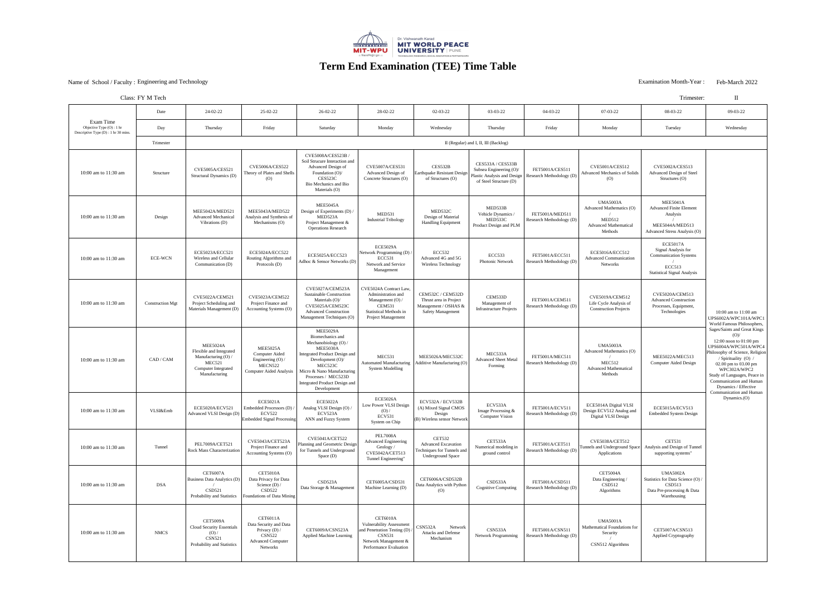### Examination Month-Year : Feb-March 2022<br>
Examination Month-Year : Feb-March 2022

|                                                                                  | Class: FY M Tech        |                                                                                                                                     |                                                                                                                       |                                                                                                                                                                                                                                                 |                                                                                                                                                      |                                                                                                        |                                                                                                       |                                             |                                                                                                         | Trimester:                                                                                                             | $\mathbf{I}$                                                                                                                                                                                                            |
|----------------------------------------------------------------------------------|-------------------------|-------------------------------------------------------------------------------------------------------------------------------------|-----------------------------------------------------------------------------------------------------------------------|-------------------------------------------------------------------------------------------------------------------------------------------------------------------------------------------------------------------------------------------------|------------------------------------------------------------------------------------------------------------------------------------------------------|--------------------------------------------------------------------------------------------------------|-------------------------------------------------------------------------------------------------------|---------------------------------------------|---------------------------------------------------------------------------------------------------------|------------------------------------------------------------------------------------------------------------------------|-------------------------------------------------------------------------------------------------------------------------------------------------------------------------------------------------------------------------|
| Exam Time<br>Objective Type (O) : 1 hr<br>Descriptive Type $(D)$ : 1 hr 30 mins. | Date                    | 24-02-22                                                                                                                            | 25-02-22                                                                                                              | $26 - 02 - 22$                                                                                                                                                                                                                                  | 28-02-22                                                                                                                                             | $02 - 03 - 22$                                                                                         | 03-03-22                                                                                              | 04-03-22                                    | 07-03-22                                                                                                | 08-03-22                                                                                                               | 09-03-22                                                                                                                                                                                                                |
|                                                                                  | Day                     | Thursday                                                                                                                            | Friday                                                                                                                | Saturday                                                                                                                                                                                                                                        | Monday                                                                                                                                               | Wednesday                                                                                              | Thursday                                                                                              | Friday                                      | Monday                                                                                                  | Tuesday                                                                                                                | Wednesday                                                                                                                                                                                                               |
|                                                                                  | Trimester               | II (Regular) and I, II, III (Backlog)                                                                                               |                                                                                                                       |                                                                                                                                                                                                                                                 |                                                                                                                                                      |                                                                                                        |                                                                                                       |                                             |                                                                                                         |                                                                                                                        |                                                                                                                                                                                                                         |
| 10:00 am to $11:30$ am                                                           | Structure               | <b>CVE5005A/CES521</b><br>Structural Dynamics (D)                                                                                   | <b>CVE5006A/CES522</b><br>Theory of Plates and Shells<br>(O)                                                          | <b>CVE5008A/CES523B</b><br>Soil Strucure Interaction and<br><b>Advanced Design of</b><br>Foundation (O)/<br>CES523C<br><b>Bio Mechanics and Bio</b><br>Materials (O)                                                                            | <b>CVE5007A/CES531</b><br><b>Advanced Design of</b><br>Concrete Structures (O)                                                                       | CES532B<br>Earthquake Resistant Design<br>of Structures (O)                                            | CES533A / CES533B<br>Subsea Engineering (O)/<br>Plastic Analysis and Design<br>of Steel Structure (D) | FET5001A/CES511<br>Research Methodology (D) | <b>CVE5001A/CES512</b><br><b>Advanced Mechanics of Solids</b><br>(0)                                    | <b>CVE5002A/CES513</b><br><b>Advanced Design of Steel</b><br>Structures $(O)$                                          |                                                                                                                                                                                                                         |
| 10:00 am to $11:30$ am                                                           | Design                  | MEE5042A/MED521<br><b>Advanced Mechanica</b><br>Vibrations (D)                                                                      | MEE5043A/MED522<br>Analysis and Synthesis of<br>Mechanisms $(O)$                                                      | <b>MEE5045A</b><br>Design of Experiments (D)<br>MED523A<br>Project Management &<br><b>Operations Research</b>                                                                                                                                   | MED531<br><b>Industrial Tribology</b>                                                                                                                | MED532C<br>Design of Material<br><b>Handling Equipment</b>                                             | MED533B<br>Vehicle Dynamics /<br>MED533C<br>Product Design and PLM                                    | FET5001A/MED511<br>Research Methodology (D) | <b>UMA5003A</b><br>Advanced Mathematics (O)<br><b>MED512</b><br><b>Advanced Mathematical</b><br>Methods | <b>MEE5041A</b><br><b>Advanced Finite Element</b><br>Analysis<br>MEE5044A/MED513<br>Advanced Stress Analysis (O)       |                                                                                                                                                                                                                         |
| 10:00 am to $11:30$ am                                                           | <b>ECE-WCN</b>          | ECE5023A/ECC521<br>Wireless and Cellular<br>Communication (D)                                                                       | ECE5024A/ECC522<br>Routing Algorithms and<br>Protocols (D)                                                            | ECE5025A/ECC523<br>Adhoc & Sensor Networks (D)                                                                                                                                                                                                  | <b>ECE5029A</b><br>Network Programming (D)<br><b>ECC531</b><br>Network and Service<br>Management                                                     | <b>ECC532</b><br>Advanced 4G and 5G<br><b>Wireless Technology</b>                                      | <b>ECC533</b><br><b>Photonic Network</b>                                                              | FET5001A/ECC511<br>Research Methodology (D) | ECE5016A/ECC512<br><b>Advanced Communication</b><br>Networks                                            | ECE5017A<br>Signal Analysis for<br><b>Communication Systems</b><br><b>ECC513</b><br><b>Statistical Signal Analysis</b> |                                                                                                                                                                                                                         |
| 10:00 am to $11:30$ am                                                           | <b>Construction Mgt</b> | <b>CVE5022A/CEM521</b><br>Project Scheduling and<br>Materials Management (D)                                                        | <b>CVE5023A/CEM522</b><br>Project Finance and<br>Accounting Systems (O)                                               | CVE5027A/CEM523A<br><b>Sustainable Construction</b><br>Materials $(O)$ /<br>CVE5025A/CEM523C<br><b>Advanced Construction</b><br>Management Techniques (O)                                                                                       | CVE5024A Contract Law,<br>Administration and<br>Management $(O)$<br><b>CEM531</b><br><b>Statistical Methods in</b><br><b>Project Management</b>      | <b>CEM532C / CEM532D</b><br>Thrust area in Project<br>Management / OSHAS &<br><b>Safety Management</b> | CEM533D<br>Management of<br><b>Infrastructure Projects</b>                                            | FET5001A/CEM511<br>Research Methodology (D) | <b>CVE5019A/CEM512</b><br>Life Cycle Analysis of<br><b>Construction Projects</b>                        | <b>CVE5020A/CEM513</b><br><b>Advanced Construction</b><br>Processes, Equipment,<br>Technologies                        | 10:00 am to 11:0<br>UPS6002A/WPC101<br>World Famous Philo                                                                                                                                                               |
| 10:00 am to 11:30 am                                                             | CAD / CAM               | <b>MEE5024A</b><br>Flexible and Integrated<br>Manufacturing $(O)$ /<br><b>MEC521</b><br><b>Computer Integrated</b><br>Manufacturing | <b>MEE5025A</b><br><b>Computer Aided</b><br>Engineering $(O)$ .<br>MECN522<br><b>Computer Aided Analysis</b>          | <b>MEE5029A</b><br>Biomechanics and<br>Mechanobiology $(O)$<br>MEE5030A<br>Integrated Product Design and<br>Development $(O)$ /<br>MEC523C<br>Micro & Nano Manufacturing<br>Processes / MEC523D<br>Integrated Product Design and<br>Development | MEC531<br><b>Automated Manufacturing</b><br><b>System Modelling</b>                                                                                  | MEE5026A/MEC532C<br>Additive Manufacturing (O)                                                         | MEC533A<br><b>Advanced Sheet Metal</b><br>Forming                                                     | FET5001A/MEC511<br>Research Methodology (D) | <b>UMA5003A</b><br><b>Advanced Mathematics (O)</b><br>MEC512<br><b>Advanced Mathematical</b><br>Methods | MEE5022A/MEC513<br>Computer Aided Design                                                                               | Sages/Saints and Gr<br>$(O)$ /<br>12:00 noon to $01$ :<br>UPS6004A/WPC501<br>Philosophy of Science<br>/ Spirituality (<br>02.00 pm to 03.0<br>WPC302A/WI<br>Study of Languages,<br>Communication and<br>Dynamics / Effe |
| 10:00 am to 11:30 am                                                             | <b>VLSI&amp;Emb</b>     | ECE5020A/ECV521<br>Advanced VLSI Design (D)                                                                                         | <b>ECE5021A</b><br>Embedded Processors (D)<br><b>ECV522</b><br><b>Embedded Signal Processing</b>                      | <b>ECE5022A</b><br>Analog VLSI Design (O)<br>ECV523A<br>ANN and Fuzzy System                                                                                                                                                                    | <b>ECE5026A</b><br>Low Power VLSI Design<br>(O)<br><b>ECV531</b><br>System on Chip                                                                   | ECV532A / ECV532B<br>(A) Mixed Signal CMOS<br>Design<br>(B) Wireless sensor Network                    | ECV533A<br>Image Processing &<br><b>Computer Vision</b>                                               | FET5001A/ECV511<br>Research Methodology (D) | ECE5014A Digital VLSI<br>Design ECV512 Analog and<br>Digital VLSI Design                                | ECE5015A/ECV513<br><b>Embedded System Design</b>                                                                       | Communication and<br>Dynamics.(C                                                                                                                                                                                        |
| 10:00 am to 11:30 am                                                             | Tunnel                  | PEL7009A/CET521<br><b>Rock Mass Characterization</b>                                                                                | CVE5043A/CET523A<br>Project Finance and<br>Accounting Systems (O)                                                     | CVE5041A/CET522<br>Planning and Geometric Design<br>for Tunnels and Underground<br>Space(D)                                                                                                                                                     | <b>PEL7008A</b><br><b>Advanced Engineering</b><br>Geology /<br><b>CVE5042A/CET513</b><br>Tunnel Engineering"                                         | <b>CET532</b><br><b>Advanced Excavation</b><br>Techniques for Tunnels and<br><b>Underground Space</b>  | CET533A<br>Numerical modeling in<br>ground control                                                    | FET5001A/CET511<br>Research Methodology (D) | CVE5038A/CET512<br>Tunnels and Underground Space<br>Applications                                        | <b>CET531</b><br>Analysis and Design of Tunnel<br>supporting systems"                                                  |                                                                                                                                                                                                                         |
| 10:00 am to 11:30 am                                                             | <b>DSA</b>              | <b>CET6007A</b><br>Business Data Analytics (D)<br><b>CSD521</b><br>Probability and Statistics                                       | <b>CET5010A</b><br>Data Privacy for Data<br>Science $(D)$ /<br><b>CSD522</b><br><b>Foundations of Data Mining</b>     | CSD523A<br>Data Storage & Management                                                                                                                                                                                                            | CET6005A/CSD531<br>Machine Learning (D)                                                                                                              | CET6006A/CSD532B<br>Data Analytics with Python<br>(O)                                                  | CSD533A<br><b>Cognitive Computing</b>                                                                 | FET5001A/CSD511<br>Research Methodology (D) | <b>CET5004A</b><br>Data Engineering<br>CSD512<br>Algorithms                                             | <b>UMA5002A</b><br>Statistics for Data Science (O)<br>CSD513<br>Data Pre-processing & Data<br>Warehousing              |                                                                                                                                                                                                                         |
| 10:00 am to 11:30 am                                                             | <b>NMCS</b>             | <b>CET5009A</b><br><b>Cloud Security Essentials</b><br>(O) /<br><b>CSN521</b><br>Probability and Statistics                         | <b>CET6011A</b><br>Data Security and Data<br>Privacy $(D)$ /<br><b>CSN522</b><br><b>Advanced Computer</b><br>Networks | CET6009A/CSN523A<br><b>Applied Machine Learning</b>                                                                                                                                                                                             | <b>CET6010A</b><br><b>Vulnerability Assessment</b><br>and Penetration Testing (D)<br><b>CSN531</b><br>Network Management &<br>Performance Evaluation | CSN532A<br>Network<br><b>Attacks and Defense</b><br>Mechanism                                          | CSN533A<br><b>Network Programming</b>                                                                 | FET5001A/CSN511<br>Research Methodology (D) | <b>UMA5001A</b><br><b>Mathematical Foundations for</b><br>Security<br>CSN512 Algorithms                 | CET5007A/CSN513<br><b>Applied Cryptography</b>                                                                         |                                                                                                                                                                                                                         |

## Class: FY M Tech



## **Term End Examination (TEE) Time Table**

eel  $ent$  $\delta$  (O) 10:00 am to 11:00 am UPS6002A/WPC101A/WPC1 World Famous Philosophers, Sages/Saints and Great Kings (O)/ 12:00 noon to 01:00 pm UPS6004A/WPC501A/WPC4 Philosophy of Science, Religion / Spirituality (O) / 02.00 pm to 03.00 pm WPC302A/WPC2 Study of Languages, Peace in Communication and Human Dynamics / Effective **Communication and Human** Dynamics.(O)annel  $\left($ O)  $\right)$ **D**ata